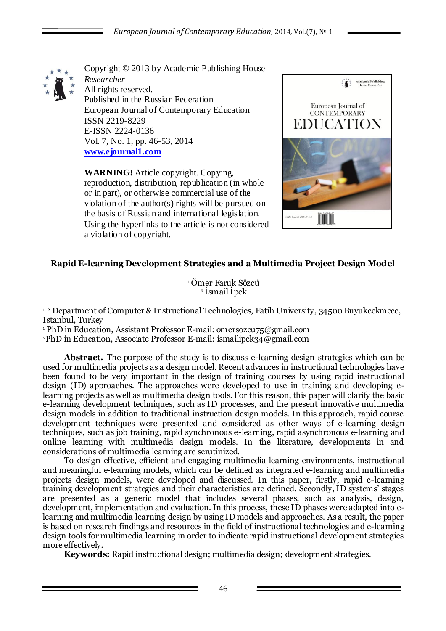

Copyright © 2013 by Academic Publishing House *Researcher* All rights reserved. Published in the Russian Federation European Journal of Contemporary Education ISSN 2219-8229 E-ISSN 2224-0136 Vol. 7, No. 1, pp. 46-53, 2014 **[www.ejournal1.com](http://www.ejournal1.com/)**

**WARNING!** Article copyright. Copying, reproduction, distribution, republication (in whole or in part), or otherwise commercial use of the violation of the author(s) rights will be pursued on the basis of Russian and international legislation. Using the hyperlinks to the article is not considered a violation of copyright.



## **Rapid E-learning Development Strategies and a Multimedia Project Design Model**

<sup>1</sup>Ömer Faruk Sözcü <sup>2</sup>İsmail İpek

<sup>1-2</sup> Department of Computer & Instructional Technologies, Fatih University, 34500 Buyukcekmece, Istanbul, Turkey

<sup>1</sup> PhD in Education, Assistant Professor E-mail: omersozcu75@gmail.com <sup>2</sup>PhD in Education, Associate Professor E-mail[: ismailipek34@gmail.com](mailto:ismailipek34@gmail.com)

**Abstract.** The purpose of the study is to discuss e-learning design strategies which can be used for multimedia projects as a design model. Recent advances in instructional technologies have been found to be very important in the design of training courses by using rapid instructional design (ID) approaches. The approaches were developed to use in training and developing elearning projects as well as multimedia design tools. For this reason, this paper will clarify the basic e-learning development techniques, such as ID processes, and the present innovative multimedia design models in addition to traditional instruction design models. In this approach, rapid course development techniques were presented and considered as other ways of e-learning design techniques, such as job training, rapid synchronous e-learning, rapid asynchronous e-learning and online learning with multimedia design models. In the literature, developments in and considerations of multimedia learning are scrutinized.

To design effective, efficient and engaging multimedia learning environments, instructional and meaningful e-learning models, which can be defined as integrated e-learning and multimedia projects design models, were developed and discussed. In this paper, firstly, rapid e-learning training development strategies and their characteristics are defined. Secondly, ID systems" stages are presented as a generic model that includes several phases, such as analysis, design, development, implementation and evaluation. In this process, these ID phases were adapted into elearning and multimedia learning design by using ID models and approaches. As a result, the paper is based on research findings and resources in the field of instructional technologies and e-learning design tools for multimedia learning in order to indicate rapid instructional development strategies more effectively.

**Keywords:** Rapid instructional design; multimedia design; development strategies.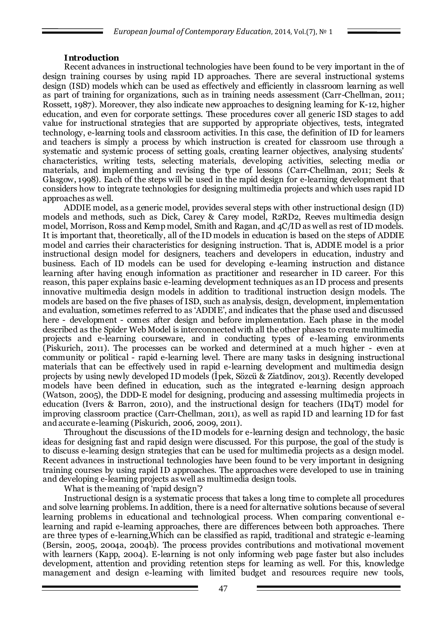## **Introduction**

Recent advances in instructional technologies have been found to be very important in the of design training courses by using rapid ID approaches. There are several instructional systems design (ISD) models which can be used as effectively and efficiently in classroom learning as well as part of training for organizations, such as in training needs assessment (Carr-Chellman, 2011; Rossett, 1987). Moreover, they also indicate new approaches to designing learning for K-12, higher education, and even for corporate settings. These procedures cover all generic ISD stages to add value for instructional strategies that are supported by appropriate objectives, tests, integrated technology, e-learning tools and classroom activities. In this case, the definition of ID for learners and teachers is simply a process by which instruction is created for classroom use through a systematic and systemic process of setting goals, creating learner objectives, analysing students' characteristics, writing tests, selecting materials, developing activities, selecting media or materials, and implementing and revising the type of lessons (Carr-Chellman, 2011; Seels & Glasgow, 1998). Each of the steps will be used in the rapid design for e-learning development that considers how to integrate technologies for designing multimedia projects and which uses rapid ID approaches as well.

ADDIE model, as a generic model, provides several steps with other instructional design (ID) models and methods, such as Dick, Carey & Carey model, R2RD2, Reeves multimedia design model, Morrison, Ross and Kemp model, Smith and Ragan, and 4C/ID as well as rest of ID models. It is important that, theoretically, all of the ID models in education is based on the steps of ADDIE model and carries their characteristics for designing instruction. That is, ADDIE model is a prior instructional design model for designers, teachers and developers in education, industry and business. Each of ID models can be used for developing e-learning instruction and distance learning after having enough information as practitioner and researcher in ID career. For this reason, this paper explains basic e-learning development techniques as an ID process and presents innovative multimedia design models in addition to traditional instruction design models. The models are based on the five phases of ISD, such as analysis, design, development, implementation and evaluation, sometimes referred to as "ADDIE", and indicates that the phase used and discussed here - development - comes after design and before implementation. Each phase in the model described as the Spider Web Model is interconnected with all the other phases to create multimedia projects and e-learning courseware, and in conducting types of e-learning environments (Piskurich, 2011). The processes can be worked and determined at a much higher - even at community or political - rapid e-learning level. There are many tasks in designing instructional materials that can be effectively used in rapid e-learning development and multimedia design projects by using newly developed ID models (İpek, Sözcü & Ziatdinov, 2013). Recently developed models have been defined in education, such as the integrated e-learning design approach (Watson, 2005), the DDD-E model for designing, producing and assessing multimedia projects in education (Ivers & Barron, 2010), and the instructional design for teachers (ID4T) model for improving classroom practice (Carr-Chellman, 2011), as well as rapid ID and learning ID for fast and accurate e-learning (Piskurich, 2006, 2009, 2011).

Throughout the discussions of the ID models for e-learning design and technology, the basic ideas for designing fast and rapid design were discussed. For this purpose, the goal of the study is to discuss e-learning design strategies that can be used for multimedia projects as a design model. Recent advances in instructional technologies have been found to be very important in designing training courses by using rapid ID approaches. The approaches were developed to use in training and developing e-learning projects as well as multimedia design tools.

What is the meaning of 'rapid design'?

Instructional design is a systematic process that takes a long time to complete all procedures and solve learning problems. In addition, there is a need for alternative solutions because of several learning problems in educational and technological process. When comparing conventional elearning and rapid e-learning approaches, there are differences between both approaches. There are three types of e-learning,Which can be classified as rapid, traditional and strategic e-learning (Bersin, 2005, 2004a, 2004b). The process provides contributions and motivational movement with learners (Kapp, 2004). E-learning is not only informing web page faster but also includes development, attention and providing retention steps for learning as well. For this, knowledge management and design e-learning with limited budget and resources require new tools,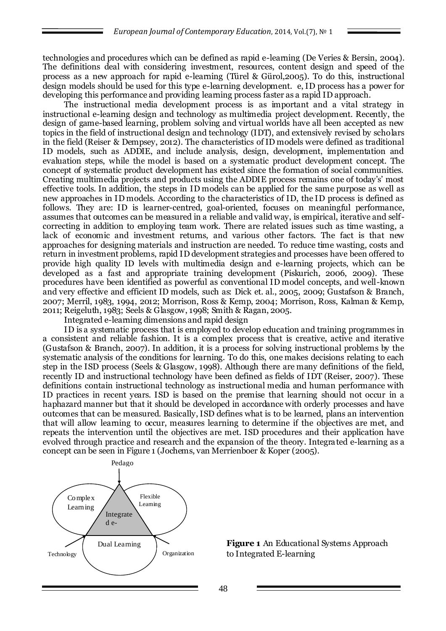technologies and procedures which can be defined as rapid e-learning (De Veries & Bersin, 2004). The definitions deal with considering investment, resources, content design and speed of the process as a new approach for rapid e-learning (Türel & Gürol,2005). To do this, instructional design models should be used for this type e-learning development. e, ID process has a power for developing this performance and providing learning process faster as a rapid ID approach.

The instructional media development process is as important and a vital strategy in instructional e-learning design and technology as multimedia project development. Recently, the design of game-based learning, problem solving and virtual worlds have all been accepted as new topics in the field of instructional design and technology (IDT), and extensively revised by scholars in the field (Reiser & Dempsey, 2012). The characteristics of ID models were defined as traditional ID models, such as ADDIE, and include analysis, design, development, implementation and evaluation steps, while the model is based on a systematic product development concept. The concept of systematic product development has existed since the formation of social communities. Creating multimedia projects and products using the ADDIE process remains one of today"s" most effective tools. In addition, the steps in ID models can be applied for the same purpose as well as new approaches in ID models. According to the characteristics of ID, the ID process is defined as follows. They are: ID is learner-centred, goal-oriented, focuses on meaningful performance, assumes that outcomes can be measured in a reliable and valid way, is empirical, iterative and selfcorrecting in addition to employing team work. There are related issues such as time wasting, a lack of economic and investment returns, and various other factors. The fact is that new approaches for designing materials and instruction are needed. To reduce time wasting, costs and return in investment problems, rapid ID development strategies and processes have been offered to provide high quality ID levels with multimedia design and e-learning projects, which can be developed as a fast and appropriate training development (Piskurich, 2006, 2009). These procedures have been identified as powerful as conventional ID model concepts, and well-known and very effective and efficient ID models, such as: Dick et. al., 2005, 2009; Gustafson & Branch, 2007; Merril, 1983, 1994, 2012; Morrison, Ross & Kemp, 2004; Morrison, Ross, Kalman & Kemp, 2011; Reigeluth, 1983; Seels & Glasgow, 1998; Smith & Ragan, 2005.

Integrated e-learning dimensions and rapid design

ID is a systematic process that is employed to develop education and training programmes in a consistent and reliable fashion. It is a complex process that is creative, active and iterative (Gustafson & Branch, 2007). In addition, it is a process for solving instructional problems by the systematic analysis of the conditions for learning. To do this, one makes decisions relating to each step in the ISD process (Seels & Glasgow, 1998). Although there are many definitions of the field, recently ID and instructional technology have been defined as fields of IDT (Reiser, 2007). These definitions contain instructional technology as instructional media and human performance with ID practices in recent years. ISD is based on the premise that learning should not occur in a haphazard manner but that it should be developed in accordance with orderly processes and have outcomes that can be measured. Basically, ISD defines what is to be learned, plans an intervention that will allow learning to occur, measures learning to determine if the objectives are met, and repeats the intervention until the objectives are met. ISD procedures and their application have evolved through practice and research and the expansion of the theory. Integrated e-learning as a concept can be seen in Figure 1 (Jochems, van Merrienboer & Koper (2005).



**Figure 1** An Educational Systems Approach to Integrated E-learning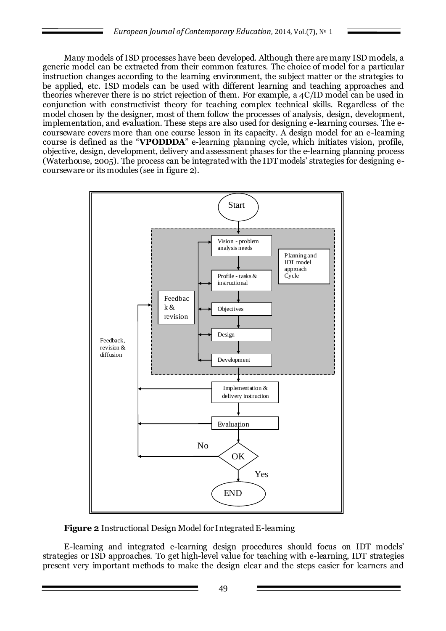Many models of ISD processes have been developed. Although there are many ISD models, a generic model can be extracted from their common features. The choice of model for a particular instruction changes according to the learning environment, the subject matter or the strategies to be applied, etc. ISD models can be used with different learning and teaching approaches and theories wherever there is no strict rejection of them. For example, a 4C/ID model can be used in conjunction with constructivist theory for teaching complex technical skills. Regardless of the model chosen by the designer, most of them follow the processes of analysis, design, development, implementation, and evaluation. These steps are also used for designing e-learning courses. The ecourseware covers more than one course lesson in its capacity. A design model for an e-learning course is defined as the "**VPODDDA**" e-learning planning cycle, which initiates vision, profile, objective, design, development, delivery and assessment phases for the e-learning planning process (Waterhouse, 2005). The process can be integrated with the IDT models" strategies for designing ecourseware or its modules (see in figure 2).



**Figure 2** Instructional Design Model for Integrated E-learning

E-learning and integrated e-learning design procedures should focus on IDT models" strategies or ISD approaches. To get high-level value for teaching with e-learning, IDT strategies present very important methods to make the design clear and the steps easier for learners and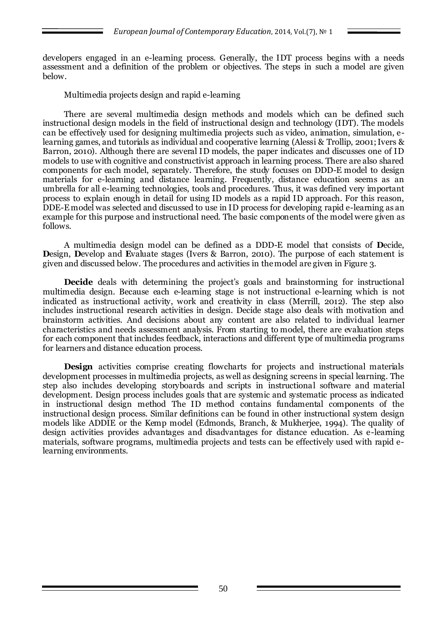developers engaged in an e-learning process. Generally, the IDT process begins with a needs assessment and a definition of the problem or objectives. The steps in such a model are given below.

Multimedia projects design and rapid e-learning

There are several multimedia design methods and models which can be defined such instructional design models in the field of instructional design and technology (IDT). The models can be effectively used for designing multimedia projects such as video, animation, simulation, elearning games, and tutorials as individual and cooperative learning (Alessi & Trollip, 2001; Ivers & Barron, 2010). Although there are several ID models, the paper indicates and discusses one of ID models to use with cognitive and constructivist approach in learning process. There are also shared components for each model, separately. Therefore, the study focuses on DDD-E model to design materials for e-learning and distance learning. Frequently, distance education seems as an umbrella for all e-learning technologies, tools and procedures. Thus, it was defined very important process to explain enough in detail for using ID models as a rapid ID approach. For this reason, DDE-E model was selected and discussed to use in ID process for developing rapid e-learning as an example for this purpose and instructional need. The basic components of the model were given as follows.

A multimedia design model can be defined as a DDD-E model that consists of **D**ecide, **D**esign, **D**evelop and **E**valuate stages (Ivers & Barron, 2010). The purpose of each statement is given and discussed below. The procedures and activities in the model are given in Figure 3.

**Decide** deals with determining the project's goals and brainstorming for instructional multimedia design. Because each e-learning stage is not instructional e-learning which is not indicated as instructional activity, work and creativity in class (Merrill, 2012). The step also includes instructional research activities in design. Decide stage also deals with motivation and brainstorm activities. And decisions about any content are also related to individual learner characteristics and needs assessment analysis. From starting to model, there are evaluation steps for each component that includes feedback, interactions and different type of multimedia programs for learners and distance education process.

**Design** activities comprise creating flowcharts for projects and instructional materials development processes in multimedia projects, as well as designing screens in special learning. The step also includes developing storyboards and scripts in instructional software and material development. Design process includes goals that are systemic and systematic process as indicated in instructional design method The ID method contains fundamental components of the instructional design process. Similar definitions can be found in other instructional system design models like ADDIE or the Kemp model (Edmonds, Branch, & Mukherjee, 1994). The quality of design activities provides advantages and disadvantages for distance education. As e-learning materials, software programs, multimedia projects and tests can be effectively used with rapid elearning environments.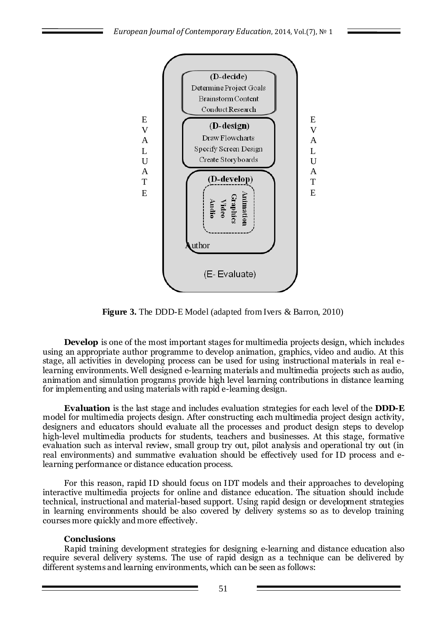

**Figure 3.** The DDD-E Model (adapted from Ivers & Barron, 2010)

**Develop** is one of the most important stages for multimedia projects design, which includes using an appropriate author programme to develop animation, graphics, video and audio. At this stage, all activities in developing process can be used for using instructional materials in real elearning environments. Well designed e-learning materials and multimedia projects such as audio, animation and simulation programs provide high level learning contributions in distance learning for implementing and using materials with rapid e-learning design.

**Evaluation** is the last stage and includes evaluation strategies for each level of the **DDD-E** model for multimedia projects design. After constructing each multimedia project design activity, designers and educators should evaluate all the processes and product design steps to develop high-level multimedia products for students, teachers and businesses. At this stage, formative evaluation such as interval review, small group try out, pilot analysis and operational try out (in real environments) and summative evaluation should be effectively used for ID process and elearning performance or distance education process.

For this reason, rapid ID should focus on IDT models and their approaches to developing interactive multimedia projects for online and distance education. The situation should include technical, instructional and material-based support. Using rapid design or development strategies in learning environments should be also covered by delivery systems so as to develop training courses more quickly and more effectively.

## **Conclusions**

Rapid training development strategies for designing e-learning and distance education also require several delivery systems. The use of rapid design as a technique can be delivered by different systems and learning environments, which can be seen as follows: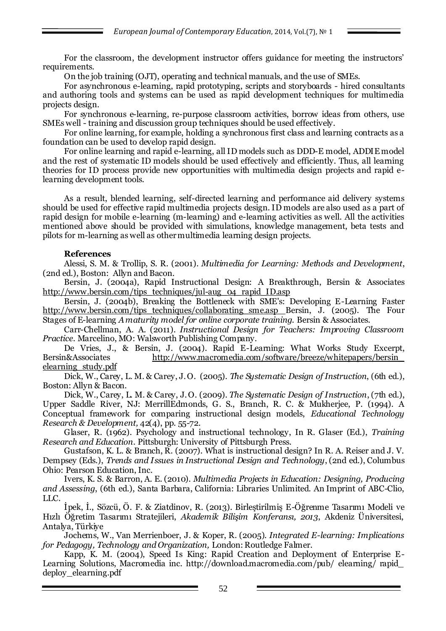For the classroom, the development instructor offers guidance for meeting the instructors' requirements.

On the job training (OJT), operating and technical manuals, and the use of SMEs.

For asynchronous e-learning, rapid prototyping, scripts and storyboards - hired consultants and authoring tools and systems can be used as rapid development techniques for multimedia projects design.

For synchronous e-learning, re-purpose classroom activities, borrow ideas from others, use SMEs well - training and discussion group techniques should be used effectively.

For online learning, for example, holding a synchronous first class and learning contracts as a foundation can be used to develop rapid design.

For online learning and rapid e-learning, all ID models such as DDD-E model, ADDIE model and the rest of systematic ID models should be used effectively and efficiently. Thus, all learning theories for ID process provide new opportunities with multimedia design projects and rapid elearning development tools.

As a result, blended learning, self-directed learning and performance aid delivery systems should be used for effective rapid multimedia projects design. ID models are also used as a part of rapid design for mobile e-learning (m-learning) and e-learning activities as well. All the activities mentioned above should be provided with simulations, knowledge management, beta tests and pilots for m-learning as well as other multimedia learning design projects.

## **References**

Alessi, S. M. & Trollip, S. R. (2001). *Multimedia for Learning: Methods and Development*, (2nd ed.), Boston: Allyn and Bacon.

Bersin, J. (2004a), Rapid Instructional Design: A Breakthrough, Bersin & Associates [http://www.bersin.com/tips\\_techniques/jul-aug\\_04\\_rapid\\_ID.asp](http://www.bersin.com/tips_techniques/jul-aug_04_rapid_ID.asp)

Bersin, J. (2004b), Breaking the Bottleneck with SME's: Developing E-Learning Faster [http://www.bersin.com/tips\\_techniques/collaborating\\_sme.asp](http://www.bersin.com/tips_techniques/collaborating_sme.asp) Bersin, J. (2005). The Four Stages of E-learning *A maturity model for online corporate training.* Bersin & Associates.

Carr-Chellman, A. A. (2011). *Instructional Design for Teachers: Improving Classroom Practice*. Marcelino, MO: Walsworth Publishing Company.

De Vries, J., & Bersin, J. (2004). Rapid E-Learning: What Works Study Excerpt, Bersin&Associates [http://www.macromedia.com/software/breeze/whitepapers/bersin\\_](http://www.macromedia.com/software/breeze/whitepapers/bersin_%20elearning_study.pdf)  [elearning\\_study.pdf](http://www.macromedia.com/software/breeze/whitepapers/bersin_%20elearning_study.pdf)

Dick, W., Carey, L. M. & Carey, J. O. (2005). *The Systematic Design of Instruction*, (6th ed.), Boston: Allyn & Bacon.

Dick, W., Carey, L. M. & Carey, J. O. (2009). *The Systematic Design of Instruction*, (7th ed.), Upper Saddle River, NJ: MerrillEdmonds, G. S., Branch, R. C. & Mukherjee, P. (1994). A Conceptual framework for comparing instructional design models, *Educational Technology Research & Development,* 42(4), pp. 55-72.

Glaser, R. (1962). Psychology and instructional technology, In R. Glaser (Ed.), *Training Research and Education*. Pittsburgh: University of Pittsburgh Press.

Gustafson, K. L. & Branch, R. (2007). What is instructional design? In R. A. Reiser and J. V. Dempsey (Eds.), *Trends and Issues in Instructional Design and Technology*, (2nd ed.), Columbus Ohio: Pearson Education, Inc.

Ivers, K. S. & Barron, A. E. (2010). *Multimedia Projects in Education: Designing, Producing and Assessing*, (6th ed.), Santa Barbara, California: Libraries Unlimited. An Imprint of ABC-Clio, LLC.

İpek, İ., Sözcü, Ö. F. & Ziatdinov, R. (2013). Birleştirilmiş E-Öğrenme Tasarımı Modeli ve Hızlı Öğretim Tasarımı Stratejileri, *Akademik Bilişim Konferansı, 2013*, Akdeniz Üniversitesi, Antalya, Türkiye

Jochems, W., Van Merrienboer, J. & Koper, R. (2005). *Integrated E-learning: Implications for Pedagogy, Technology and Organization,* London: Routledge Falmer.

Kapp, K. M. (2004), Speed Is King: Rapid Creation and Deployment of Enterprise E-Learning Solutions, Macromedia inc. http://download.macromedia.com/pub/ elearning/ rapid [deploy\\_elearning.pdf](http://download.macromedia.com/pub/%20elearning/%20rapid_%20deploy_elearning.pdf)